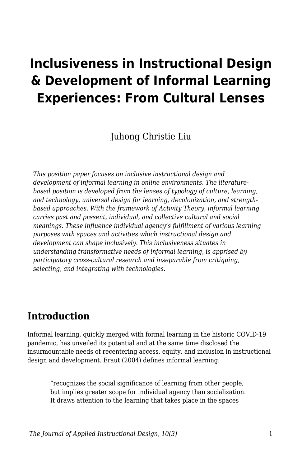# **Inclusiveness in Instructional Design & Development of Informal Learning Experiences: From Cultural Lenses**

Juhong Christie Liu

*This position paper focuses on inclusive instructional design and development of informal learning in online environments. The literaturebased position is developed from the lenses of typology of culture, learning, and technology, universal design for learning, decolonization, and strengthbased approaches. With the framework of Activity Theory, informal learning carries past and present, individual, and collective cultural and social meanings. These influence individual agency's fulfillment of various learning purposes with spaces and activities which instructional design and development can shape inclusively. This inclusiveness situates in understanding transformative needs of informal learning, is apprised by participatory cross-cultural research and inseparable from critiquing, selecting, and integrating with technologies.*

### **Introduction**

Informal learning, quickly merged with formal learning in the historic COVID-19 pandemic, has unveiled its potential and at the same time disclosed the insurmountable needs of recentering access, equity, and inclusion in instructional design and development. Eraut (2004) defines informal learning:

"recognizes the social significance of learning from other people, but implies greater scope for individual agency than socialization. It draws attention to the learning that takes place in the spaces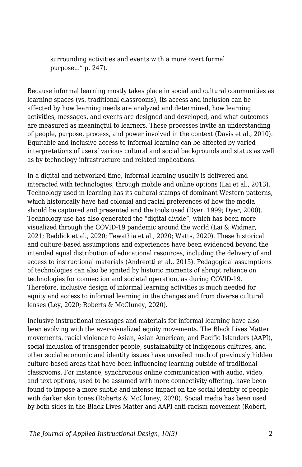surrounding activities and events with a more overt formal purpose..." p. 247).

Because informal learning mostly takes place in social and cultural communities as learning spaces (vs. traditional classrooms), its access and inclusion can be affected by how learning needs are analyzed and determined, how learning activities, messages, and events are designed and developed, and what outcomes are measured as meaningful to learners. These processes invite an understanding of people, purpose, process, and power involved in the context (Davis et al., 2010). Equitable and inclusive access to informal learning can be affected by varied interpretations of users' various cultural and social backgrounds and status as well as by technology infrastructure and related implications.

In a digital and networked time, informal learning usually is delivered and interacted with technologies, through mobile and online options (Lai et al., 2013). Technology used in learning has its cultural stamps of dominant Western patterns, which historically have had colonial and racial preferences of how the media should be captured and presented and the tools used (Dyer, 1999; Dyer, 2000). Technology use has also generated the "digital divide", which has been more visualized through the COVID-19 pandemic around the world (Lai & Widmar, 2021; Reddick et al., 2020; Tewathia et al., 2020; Watts, 2020). These historical and culture-based assumptions and experiences have been evidenced beyond the intended equal distribution of educational resources, including the delivery of and access to instructional materials (Andreotti et al., 2015). Pedagogical assumptions of technologies can also be ignited by historic moments of abrupt reliance on technologies for connection and societal operation, as during COVID-19. Therefore, inclusive design of informal learning activities is much needed for equity and access to informal learning in the changes and from diverse cultural lenses (Ley, 2020; Roberts & McCluney, 2020).

Inclusive instructional messages and materials for informal learning have also been evolving with the ever-visualized equity movements. The Black Lives Matter movements, racial violence to Asian, Asian American, and Pacific Islanders (AAPI), social inclusion of transgender people, sustainability of indigenous cultures, and other social economic and identity issues have unveiled much of previously hidden culture-based areas that have been influencing learning outside of traditional classrooms. For instance, synchronous online communication with audio, video, and text options, used to be assumed with more connectivity offering, have been found to impose a more subtle and intense impact on the social identity of people with darker skin tones (Roberts & McCluney, 2020). Social media has been used by both sides in the Black Lives Matter and AAPI anti-racism movement (Robert,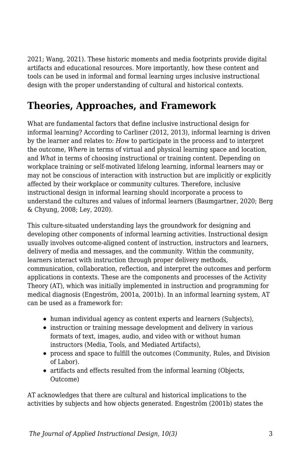2021; Wang, 2021). These historic moments and media footprints provide digital artifacts and educational resources. More importantly, how these content and tools can be used in informal and formal learning urges inclusive instructional design with the proper understanding of cultural and historical contexts.

# **Theories, Approaches, and Framework**

What are fundamental factors that define inclusive instructional design for informal learning? According to Carliner (2012, 2013), informal learning is driven by the learner and relates to: *How* to participate in the process and to interpret the outcome, *Wher*e in terms of virtual and physical learning space and location, and *What* in terms of choosing instructional or training content. Depending on workplace training or self-motivated lifelong learning, informal learners may or may not be conscious of interaction with instruction but are implicitly or explicitly affected by their workplace or community cultures. Therefore, inclusive instructional design in informal learning should incorporate a process to understand the cultures and values of informal learners (Baumgartner, 2020; Berg & Chyung, 2008; Ley, 2020).

This culture-situated understanding lays the groundwork for designing and developing other components of informal learning activities. Instructional design usually involves outcome-aligned content of instruction, instructors and learners, delivery of media and messages, and the community. Within the community, learners interact with instruction through proper delivery methods, communication, collaboration, reflection, and interpret the outcomes and perform applications in contexts. These are the components and processes of the Activity Theory (AT), which was initially implemented in instruction and programming for medical diagnosis (Engeström, 2001a, 2001b). In an informal learning system, AT can be used as a framework for:

- human individual agency as content experts and learners (Subjects),
- instruction or training message development and delivery in various formats of text, images, audio, and video with or without human instructors (Media, Tools, and Mediated Artifacts),
- process and space to fulfill the outcomes (Community, Rules, and Division of Labor).
- artifacts and effects resulted from the informal learning (Objects, Outcome)

AT acknowledges that there are cultural and historical implications to the activities by subjects and how objects generated. Engeström (2001b) states the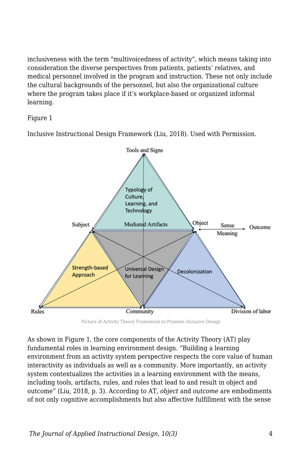inclusiveness with the term "multivoicedness of activity", which means taking into consideration the diverse perspectives from patients, patients' relatives, and medical personnel involved in the program and instruction. These not only include the cultural backgrounds of the personnel, but also the organizational culture where the program takes place if it's workplace-based or organized informal learning.

#### Figure 1

Inclusive Instructional Design Framework (Liu, 2018). Used with Permission.



Picture of Activity Theory Framework to Promote Inclusive Design

As shown in Figure 1, the core components of the Activity Theory (AT) play fundamental roles in learning environment design. "Building a learning environment from an activity system perspective respects the core value of human interactivity as individuals as well as a community. More importantly, an activity system contextualizes the activities in a learning environment with the means, including tools, artifacts, rules, and roles that lead to and result in object and outcome" (Liu, 2018, p. 3). According to AT, *object* and *outcome* are embodiments of not only cognitive accomplishments but also affective fulfillment with the sense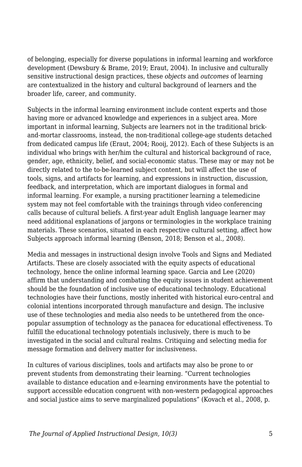of belonging, especially for diverse populations in informal learning and workforce development (Dewsbury & Brame, 2019; Eraut, 2004). In inclusive and culturally sensitive instructional design practices, these *objects* and *outcomes* of learning are contextualized in the history and cultural background of learners and the broader life, career, and community.

Subjects in the informal learning environment include content experts and those having more or advanced knowledge and experiences in a subject area. More important in informal learning, Subjects are learners not in the traditional brickand-mortar classrooms, instead, the non-traditional college-age students detached from dedicated campus life (Eraut, 2004; Rooij, 2012). Each of these Subjects is an individual who brings with her/him the cultural and historical background of race, gender, age, ethnicity, belief, and social-economic status. These may or may not be directly related to the to-be-learned subject content, but will affect the use of tools, signs, and artifacts for learning, and expressions in instruction, discussion, feedback, and interpretation, which are important dialogues in formal and informal learning. For example, a nursing practitioner learning a telemedicine system may not feel comfortable with the trainings through video conferencing calls because of cultural beliefs. A first-year adult English language learner may need additional explanations of jargons or terminologies in the workplace training materials. These scenarios, situated in each respective cultural setting, affect how Subjects approach informal learning (Benson, 2018; Benson et al., 2008).

Media and messages in instructional design involve Tools and Signs and Mediated Artifacts. These are closely associated with the equity aspects of educational technology, hence the online informal learning space. Garcia and Lee (2020) affirm that understanding and combating the equity issues in student achievement should be the foundation of inclusive use of educational technology. Educational technologies have their functions, mostly inherited with historical euro-central and colonial intentions incorporated through manufacture and design. The inclusive use of these technologies and media also needs to be untethered from the oncepopular assumption of technology as the panacea for educational effectiveness. To fulfill the educational technology potentials inclusively, there is much to be investigated in the social and cultural realms. Critiquing and selecting media for message formation and delivery matter for inclusiveness.

In cultures of various disciplines, tools and artifacts may also be prone to or prevent students from demonstrating their learning. "Current technologies available to distance education and e-learning environments have the potential to support accessible education congruent with non-western pedagogical approaches and social justice aims to serve marginalized populations" (Kovach et al., 2008, p.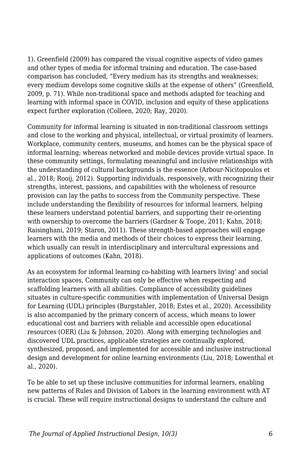1). Greenfield (2009) has compared the visual cognitive aspects of video games and other types of media for informal training and education. The case-based comparison has concluded, "Every medium has its strengths and weaknesses; every medium develops some cognitive skills at the expense of others" (Greenfield, 2009, p. 71). While non-traditional space and methods adapted for teaching and learning with informal space in COVID, inclusion and equity of these applications expect further exploration (Colleen, 2020; Ray, 2020).

Community for informal learning is situated in non-traditional classroom settings and close to the working and physical, intellectual, or virtual proximity of learners. Workplace, community centers, museums, and homes can be the physical space of informal learning; whereas networked and mobile devices provide virtual space. In these community settings, formulating meaningful and inclusive relationships with the understanding of cultural backgrounds is the essence (Arbour-Nicitopoulos et al., 2018; Rooij, 2012). Supporting individuals, responsively, with recognizing their strengths, interest, passions, and capabilities with the wholeness of resource provision can lay the paths to success from the Community perspective. These include understanding the flexibility of resources for informal learners, helping these learners understand potential barriers, and supporting their re-orienting with ownership to overcome the barriers (Gardner & Toope, 2011; Kahn, 2018; Raisinghani, 2019; Staron, 2011). These strength-based approaches will engage learners with the media and methods of their choices to express their learning, which usually can result in interdisciplinary and intercultural expressions and applications of outcomes (Kahn, 2018).

As an ecosystem for informal learning co-habiting with learners living' and social interaction spaces, Community can only be effective when respecting and scaffolding learners with all abilities. Compliance of accessibility guidelines situates in culture-specific communities with implementation of Universal Design for Learning (UDL) principles (Burgstahler, 2018; Estes et al., 2020). Accessibility is also accompanied by the primary concern of access, which means to lower educational cost and barriers with reliable and accessible open educational resources (OER) (Liu & Johnson, 2020). Along with emerging technologies and discovered UDL practices, applicable strategies are continually explored, synthesized, proposed, and implemented for accessible and inclusive instructional design and development for online learning environments (Liu, 2018; Lowenthal et al., 2020).

To be able to set up these inclusive communities for informal learners, enabling new patterns of Rules and Division of Labors in the learning environment with AT is crucial. These will require instructional designs to understand the culture and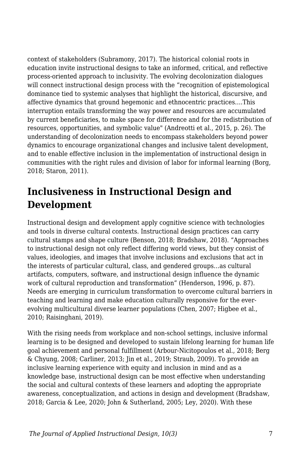context of stakeholders (Subramony, 2017). The historical colonial roots in education invite instructional designs to take an informed, critical, and reflective process-oriented approach to inclusivity. The evolving decolonization dialogues will connect instructional design process with the "recognition of epistemological dominance tied to systemic analyses that highlight the historical, discursive, and affective dynamics that ground hegemonic and ethnocentric practices….This interruption entails transforming the way power and resources are accumulated by current beneficiaries, to make space for difference and for the redistribution of resources, opportunities, and symbolic value" (Andreotti et al., 2015, p. 26). The understanding of decolonization needs to encompass stakeholders beyond power dynamics to encourage organizational changes and inclusive talent development, and to enable effective inclusion in the implementation of instructional design in communities with the right rules and division of labor for informal learning (Borg, 2018; Staron, 2011).

# **Inclusiveness in Instructional Design and Development**

Instructional design and development apply cognitive science with technologies and tools in diverse cultural contexts. Instructional design practices can carry cultural stamps and shape culture (Benson, 2018; Bradshaw, 2018). "Approaches to instructional design not only reflect differing world views, but they consist of values, ideologies, and images that involve inclusions and exclusions that act in the interests of particular cultural, class, and gendered groups…as cultural artifacts, computers, software, and instructional design influence the dynamic work of cultural reproduction and transformation" (Henderson, 1996, p. 87). Needs are emerging in curriculum transformation to overcome cultural barriers in teaching and learning and make education culturally responsive for the everevolving multicultural diverse learner populations (Chen, 2007; Higbee et al., 2010; Raisinghani, 2019).

With the rising needs from workplace and non-school settings, inclusive informal learning is to be designed and developed to sustain lifelong learning for human life goal achievement and personal fulfillment (Arbour-Nicitopoulos et al., 2018; Berg & Chyung, 2008; Carliner, 2013; Jin et al., 2019; Straub, 2009). To provide an inclusive learning experience with equity and inclusion in mind and as a knowledge base, instructional design can be most effective when understanding the social and cultural contexts of these learners and adopting the appropriate awareness, conceptualization, and actions in design and development (Bradshaw, 2018; Garcia & Lee, 2020; John & Sutherland, 2005; Ley, 2020). With these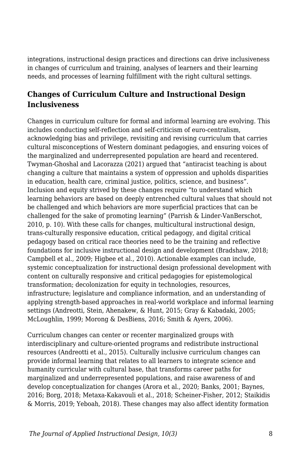integrations, instructional design practices and directions can drive inclusiveness in changes of curriculum and training, analyses of learners and their learning needs, and processes of learning fulfillment with the right cultural settings.

### **Changes of Curriculum Culture and Instructional Design Inclusiveness**

Changes in curriculum culture for formal and informal learning are evolving. This includes conducting self-reflection and self-criticism of euro-centralism, acknowledging bias and privilege, revisiting and revising curriculum that carries cultural misconceptions of Western dominant pedagogies, and ensuring voices of the marginalized and underrepresented population are heard and recentered. Twyman-Ghoshal and Lacorazza (2021) argued that "antiracist teaching is about changing a culture that maintains a system of oppression and upholds disparities in education, health care, criminal justice, politics, science, and business". Inclusion and equity strived by these changes require "to understand which learning behaviors are based on deeply entrenched cultural values that should not be challenged and which behaviors are more superficial practices that can be challenged for the sake of promoting learning" (Parrish & Linder-VanBerschot, 2010, p. 10). With these calls for changes, multicultural instructional design, trans-culturally responsive education, critical pedagogy, and digital critical pedagogy based on critical race theories need to be the training and reflective foundations for inclusive instructional design and development (Bradshaw, 2018; Campbell et al., 2009; Higbee et al., 2010). Actionable examples can include, systemic conceptualization for instructional design professional development with content on culturally responsive and critical pedagogies for epistemological transformation; decolonization for equity in technologies, resources, infrastructure; legislature and compliance information, and an understanding of applying strength-based approaches in real-world workplace and informal learning settings (Andreotti, Stein, Ahenakew, & Hunt, 2015; Gray & Kabadaki, 2005; McLoughlin, 1999; Morong & DesBiens, 2016; Smith & Ayers, 2006).

Curriculum changes can center or recenter marginalized groups with interdisciplinary and culture-oriented programs and redistribute instructional resources (Andreotti et al., 2015). Culturally inclusive curriculum changes can provide informal learning that relates to all learners to integrate science and humanity curricular with cultural base, that transforms career paths for marginalized and underrepresented populations, and raise awareness of and develop conceptualization for changes (Arora et al., 2020; Banks, 2001; Baynes, 2016; Borg, 2018; Metaxa-Kakavouli et al., 2018; Scheiner-Fisher, 2012; Staikidis & Morris, 2019; Yeboah, 2018). These changes may also affect identity formation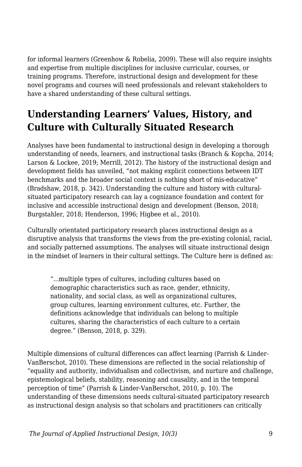for informal learners (Greenhow & Robelia, 2009). These will also require insights and expertise from multiple disciplines for inclusive curricular, courses, or training programs. Therefore, instructional design and development for these novel programs and courses will need professionals and relevant stakeholders to have a shared understanding of these cultural settings.

# **Understanding Learners' Values, History, and Culture with Culturally Situated Research**

Analyses have been fundamental to instructional design in developing a thorough understanding of needs, learners, and instructional tasks (Branch & Kopcha, 2014; Larson & Lockee, 2019; Merrill, 2012). The history of the instructional design and development fields has unveiled, "not making explicit connections between IDT benchmarks and the broader social context is nothing short of mis-educative" (Bradshaw, 2018, p. 342). Understanding the culture and history with culturalsituated participatory research can lay a cognizance foundation and context for inclusive and accessible instructional design and development (Benson, 2018; Burgstahler, 2018; Henderson, 1996; Higbee et al., 2010).

Culturally orientated participatory research places instructional design as a disruptive analysis that transforms the views from the pre-existing colonial, racial, and socially patterned assumptions. The analyses will situate instructional design in the mindset of learners in their cultural settings. The Culture here is defined as:

"...multiple types of cultures, including cultures based on demographic characteristics such as race, gender, ethnicity, nationality, and social class, as well as organizational cultures, group cultures, learning environment cultures, etc. Further, the definitions acknowledge that individuals can belong to multiple cultures, sharing the characteristics of each culture to a certain degree." (Benson, 2018, p. 329).

Multiple dimensions of cultural differences can affect learning (Parrish & Linder-VanBerschot, 2010). These dimensions are reflected in the social relationship of "equality and authority, individualism and collectivism, and nurture and challenge, epistemological beliefs, stability, reasoning and causality, and in the temporal perception of time" (Parrish & Linder-VanBerschot, 2010, p. 10). The understanding of these dimensions needs cultural-situated participatory research as instructional design analysis so that scholars and practitioners can critically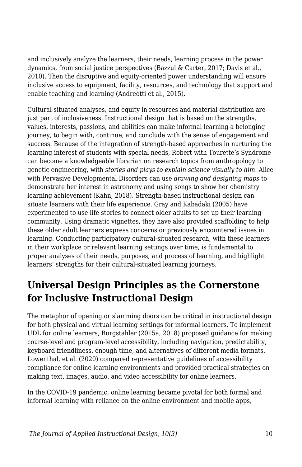and inclusively analyze the learners, their needs, learning process in the power dynamics, from social justice perspectives (Bazzul & Carter, 2017; Davis et al., 2010). Then the disruptive and equity-oriented power understanding will ensure inclusive access to equipment, facility, resources, and technology that support and enable teaching and learning (Andreotti et al., 2015).

Cultural-situated analyses, and equity in resources and material distribution are just part of inclusiveness. Instructional design that is based on the strengths, values, interests, passions, and abilities can make informal learning a belonging journey, to begin with, continue, and conclude with the sense of engagement and success. Because of the integration of strength-based approaches in nurturing the learning interest of students with special needs, Robert with Tourette's Syndrome can become a knowledgeable librarian on research topics from anthropology to genetic engineering, with *stories and plays to explain science visually to him*. Alice with Pervasive Developmental Disorders can use *drawing and designing maps* to demonstrate her interest in astronomy and using songs to show her chemistry learning achievement (Kahn, 2018). Strength-based instructional design can situate learners with their life experience. Gray and Kabadaki (2005) have experimented to use life stories to connect older adults to set up their learning community. Using dramatic vignettes, they have also provided scaffolding to help these older adult learners express concerns or previously encountered issues in learning. Conducting participatory cultural-situated research, with these learners in their workplace or relevant learning settings over time, is fundamental to proper analyses of their needs, purposes, and process of learning, and highlight learners' strengths for their cultural-situated learning journeys.

## **Universal Design Principles as the Cornerstone for Inclusive Instructional Design**

The metaphor of opening or slamming doors can be critical in instructional design for both physical and virtual learning settings for informal learners. To implement UDL for online learners, Burgstahler (2015a, 2018) proposed guidance for making course-level and program-level accessibility, including navigation, predictability, keyboard friendliness, enough time, and alternatives of different media formats. Lowenthal, et al. (2020) compared representative guidelines of accessibility compliance for online learning environments and provided practical strategies on making text, images, audio, and video accessibility for online learners.

In the COVID-19 pandemic, online learning became pivotal for both formal and informal learning with reliance on the online environment and mobile apps,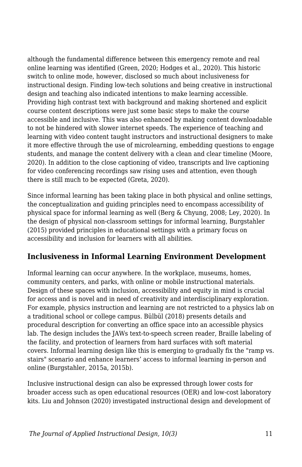although the fundamental difference between this emergency remote and real online learning was identified (Green, 2020; Hodges et al., 2020). This historic switch to online mode, however, disclosed so much about inclusiveness for instructional design. Finding low-tech solutions and being creative in instructional design and teaching also indicated intentions to make learning accessible. Providing high contrast text with background and making shortened and explicit course content descriptions were just some basic steps to make the course accessible and inclusive. This was also enhanced by making content downloadable to not be hindered with slower internet speeds. The experience of teaching and learning with video content taught instructors and instructional designers to make it more effective through the use of microlearning, embedding questions to engage students, and manage the content delivery with a clean and clear timeline (Moore, 2020). In addition to the close captioning of video, transcripts and live captioning for video conferencing recordings saw rising uses and attention, even though there is still much to be expected (Greta, 2020).

Since informal learning has been taking place in both physical and online settings, the conceptualization and guiding principles need to encompass accessibility of physical space for informal learning as well (Berg & Chyung, 2008; Ley, 2020). In the design of physical non-classroom settings for informal learning, Burgstahler (2015) provided principles in educational settings with a primary focus on accessibility and inclusion for learners with all abilities.

### **Inclusiveness in Informal Learning Environment Development**

Informal learning can occur anywhere. In the workplace, museums, homes, community centers, and parks, with online or mobile instructional materials. Design of these spaces with inclusion, accessibility and equity in mind is crucial for access and is novel and in need of creativity and interdisciplinary exploration. For example, physics instruction and learning are not restricted to a physics lab on a traditional school or college campus. Bülbül (2018) presents details and procedural description for converting an office space into an accessible physics lab. The design includes the JAWs text-to-speech screen reader, Braille labeling of the facility, and protection of learners from hard surfaces with soft material covers. Informal learning design like this is emerging to gradually fix the "ramp vs. stairs" scenario and enhance learners' access to informal learning in-person and online (Burgstahler, 2015a, 2015b).

Inclusive instructional design can also be expressed through lower costs for broader access such as open educational resources (OER) and low-cost laboratory kits. Liu and Johnson (2020) investigated instructional design and development of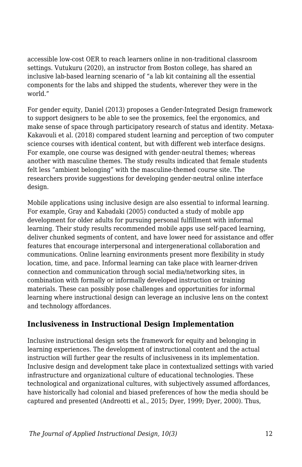accessible low-cost OER to reach learners online in non-traditional classroom settings. Vutukuru (2020), an instructor from Boston college, has shared an inclusive lab-based learning scenario of "a lab kit containing all the essential components for the labs and shipped the students, wherever they were in the world."

For gender equity, Daniel (2013) proposes a Gender-Integrated Design framework to support designers to be able to see the proxemics, feel the ergonomics, and make sense of space through participatory research of status and identity. Metaxa-Kakavouli et al. (2018) compared student learning and perception of two computer science courses with identical content, but with different web interface designs. For example, one course was designed with gender-neutral themes; whereas another with masculine themes. The study results indicated that female students felt less "ambient belonging" with the masculine-themed course site. The researchers provide suggestions for developing gender-neutral online interface design.

Mobile applications using inclusive design are also essential to informal learning. For example, Gray and Kabadaki (2005) conducted a study of mobile app development for older adults for pursuing personal fulfillment with informal learning. Their study results recommended mobile apps use self-paced learning, deliver chunked segments of content, and have lower need for assistance and offer features that encourage interpersonal and intergenerational collaboration and communications. Online learning environments present more flexibility in study location, time, and pace. Informal learning can take place with learner-driven connection and communication through social media/networking sites, in combination with formally or informally developed instruction or training materials. These can possibly pose challenges and opportunities for informal learning where instructional design can leverage an inclusive lens on the context and technology affordances.

### **Inclusiveness in Instructional Design Implementation**

Inclusive instructional design sets the framework for equity and belonging in learning experiences. The development of instructional content and the actual instruction will further gear the results of inclusiveness in its implementation. Inclusive design and development take place in contextualized settings with varied infrastructure and organizational culture of educational technologies. These technological and organizational cultures, with subjectively assumed affordances, have historically had colonial and biased preferences of how the media should be captured and presented (Andreotti et al., 2015; Dyer, 1999; Dyer, 2000). Thus,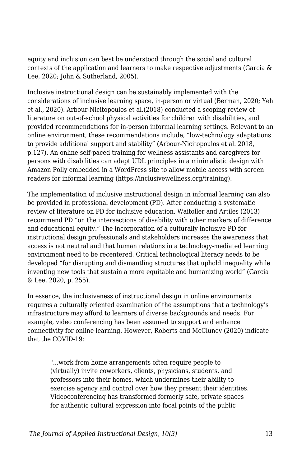equity and inclusion can best be understood through the social and cultural contexts of the application and learners to make respective adjustments (Garcia & Lee, 2020; John & Sutherland, 2005).

Inclusive instructional design can be sustainably implemented with the considerations of inclusive learning space, in-person or virtual (Berman, 2020; Yeh et al., 2020). Arbour-Nicitopoulos et al.(2018) conducted a scoping review of literature on out-of-school physical activities for children with disabilities, and provided recommendations for in-person informal learning settings. Relevant to an online environment, these recommendations include, "low-technology adaptations to provide additional support and stability" (Arbour-Nicitopoulos et al. 2018, p.127). An online self-paced training for wellness assistants and caregivers for persons with disabilities can adapt UDL principles in a minimalistic design with Amazon Polly embedded in a WordPress site to allow mobile access with screen readers for informal learning (https://inclusivewellness.org/training).

The implementation of inclusive instructional design in informal learning can also be provided in professional development (PD). After conducting a systematic review of literature on PD for inclusive education, Waitoller and Artiles (2013) recommend PD "on the intersections of disability with other markers of difference and educational equity." The incorporation of a culturally inclusive PD for instructional design professionals and stakeholders increases the awareness that access is not neutral and that human relations in a technology-mediated learning environment need to be recentered. Critical technological literacy needs to be developed "for disrupting and dismantling structures that uphold inequality while inventing new tools that sustain a more equitable and humanizing world" (Garcia & Lee, 2020, p. 255).

In essence, the inclusiveness of instructional design in online environments requires a culturally oriented examination of the assumptions that a technology's infrastructure may afford to learners of diverse backgrounds and needs. For example, video conferencing has been assumed to support and enhance connectivity for online learning. However, Roberts and McCluney (2020) indicate that the COVID-19:

"...work from home arrangements often require people to (virtually) invite coworkers, clients, physicians, students, and professors into their homes, which undermines their ability to exercise agency and control over how they present their identities. Videoconferencing has transformed formerly safe, private spaces for authentic cultural expression into focal points of the public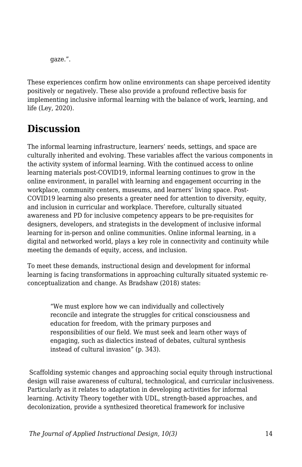gaze.".

These experiences confirm how online environments can shape perceived identity positively or negatively. These also provide a profound reflective basis for implementing inclusive informal learning with the balance of work, learning, and life (Ley, 2020).

### **Discussion**

The informal learning infrastructure, learners' needs, settings, and space are culturally inherited and evolving. These variables affect the various components in the activity system of informal learning. With the continued access to online learning materials post-COVID19, informal learning continues to grow in the online environment, in parallel with learning and engagement occurring in the workplace, community centers, museums, and learners' living space. Post-COVID19 learning also presents a greater need for attention to diversity, equity, and inclusion in curricular and workplace. Therefore, culturally situated awareness and PD for inclusive competency appears to be pre-requisites for designers, developers, and strategists in the development of inclusive informal learning for in-person and online communities. Online informal learning, in a digital and networked world, plays a key role in connectivity and continuity while meeting the demands of equity, access, and inclusion.

To meet these demands, instructional design and development for informal learning is facing transformations in approaching culturally situated systemic reconceptualization and change. As Bradshaw (2018) states:

"We must explore how we can individually and collectively reconcile and integrate the struggles for critical consciousness and education for freedom, with the primary purposes and responsibilities of our field. We must seek and learn other ways of engaging, such as dialectics instead of debates, cultural synthesis instead of cultural invasion" (p. 343).

 Scaffolding systemic changes and approaching social equity through instructional design will raise awareness of cultural, technological, and curricular inclusiveness. Particularly as it relates to adaptation in developing activities for informal learning. Activity Theory together with UDL, strength-based approaches, and decolonization, provide a synthesized theoretical framework for inclusive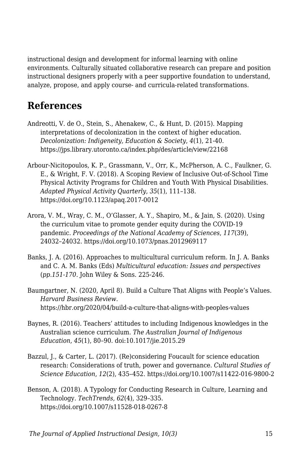instructional design and development for informal learning with online environments. Culturally situated collaborative research can prepare and position instructional designers properly with a peer supportive foundation to understand, analyze, propose, and apply course- and curricula-related transformations.

### **References**

- Andreotti, V. de O., Stein, S., Ahenakew, C., & Hunt, D. (2015). Mapping interpretations of decolonization in the context of higher education. *Decolonization: Indigeneity, Education & Society*, *4*(1), 21-40. https://jps.library.utoronto.ca/index.php/des/article/view/22168
- Arbour-Nicitopoulos, K. P., Grassmann, V., Orr, K., McPherson, A. C., Faulkner, G. E., & Wright, F. V. (2018). A Scoping Review of Inclusive Out-of-School Time Physical Activity Programs for Children and Youth With Physical Disabilities. *Adapted Physical Activity Quarterly*, *35*(1), 111–138. https://doi.org/10.1123/apaq.2017-0012
- Arora, V. M., Wray, C. M., O'Glasser, A. Y., Shapiro, M., & Jain, S. (2020). Using the curriculum vitae to promote gender equity during the COVID-19 pandemic. *Proceedings of the National Academy of Sciences*, *117*(39), 24032–24032. https://doi.org/10.1073/pnas.2012969117
- Banks, J. A. (2016). Approaches to multicultural curriculum reform. In J. A. Banks and C. A. M. Banks (Eds) *Multicultural education: Issues and perspectives* (*pp.151-170*. John Wiley & Sons. 225-246.
- Baumgartner, N. (2020, April 8). Build a Culture That Aligns with People's Values. *Harvard Business Review*. https://hbr.org/2020/04/build-a-culture-that-aligns-with-peoples-values
- Baynes, R. (2016). Teachers' attitudes to including Indigenous knowledges in the Australian science curriculum. *The Australian Journal of Indigenous Education*, *45*(1), 80–90. doi:10.1017/jie.2015.29
- Bazzul, J., & Carter, L. (2017). (Re)considering Foucault for science education research: Considerations of truth, power and governance. *Cultural Studies of Science Education*, *12*(2), 435–452. https://doi.org/10.1007/s11422-016-9800-2
- Benson, A. (2018). A Typology for Conducting Research in Culture, Learning and Technology. *TechTrends*, *62*(4), 329–335. https://doi.org/10.1007/s11528-018-0267-8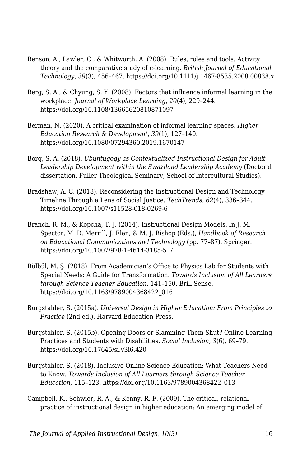- Benson, A., Lawler, C., & Whitworth, A. (2008). Rules, roles and tools: Activity theory and the comparative study of e-learning. *British Journal of Educational Technology*, *39*(3), 456–467. https://doi.org/10.1111/j.1467-8535.2008.00838.x
- Berg, S. A., & Chyung, S. Y. (2008). Factors that influence informal learning in the workplace. *Journal of Workplace Learning*, *20*(4), 229–244. https://doi.org/10.1108/13665620810871097
- Berman, N. (2020). A critical examination of informal learning spaces. *Higher Education Research & Development*, *39*(1), 127–140. https://doi.org/10.1080/07294360.2019.1670147
- Borg, S. A. (2018). *Ubuntugogy as Contextualized Instructional Design for Adult* Leadership Development within the Swaziland Leadership Academy (Doctoral dissertation, Fuller Theological Seminary, School of Intercultural Studies).
- Bradshaw, A. C. (2018). Reconsidering the Instructional Design and Technology Timeline Through a Lens of Social Justice. *TechTrends*, *62*(4), 336–344. https://doi.org/10.1007/s11528-018-0269-6
- Branch, R. M., & Kopcha, T. J. (2014). Instructional Design Models. In J. M. Spector, M. D. Merrill, J. Elen, & M. J. Bishop (Eds.), *Handbook of Research on Educational Communications and Technology* (pp. 77–87). Springer. https://doi.org/10.1007/978-1-4614-3185-5\_7
- Bülbül, M. Ş. (2018). From Academician's Office to Physics Lab for Students with Special Needs: A Guide for Transformation. *Towards Inclusion of All Learners through Science Teacher Education*, 141–150. Brill Sense. https://doi.org/10.1163/9789004368422\_016
- Burgstahler, S. (2015a). *Universal Design in Higher Education: From Principles to Practice* (2nd ed.). Harvard Education Press.
- Burgstahler, S. (2015b). Opening Doors or Slamming Them Shut? Online Learning Practices and Students with Disabilities. *Social Inclusion*, *3*(6), 69–79. https://doi.org/10.17645/si.v3i6.420
- Burgstahler, S. (2018). Inclusive Online Science Education: What Teachers Need to Know. *Towards Inclusion of All Learners through Science Teacher Education*, 115–123. https://doi.org/10.1163/9789004368422\_013
- Campbell, K., Schwier, R. A., & Kenny, R. F. (2009). The critical, relational practice of instructional design in higher education: An emerging model of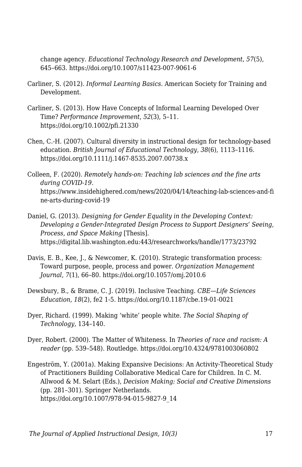change agency. *Educational Technology Research and Development*, *57*(5), 645–663. https://doi.org/10.1007/s11423-007-9061-6

- Carliner, S. (2012). *Informal Learning Basics*. American Society for Training and Development.
- Carliner, S. (2013). How Have Concepts of Informal Learning Developed Over Time? *Performance Improvement*, *52*(3), 5–11. https://doi.org/10.1002/pfi.21330
- Chen, C.-H. (2007). Cultural diversity in instructional design for technology-based education. *British Journal of Educational Technology*, *38*(6), 1113–1116. https://doi.org/10.1111/j.1467-8535.2007.00738.x
- Colleen, F. (2020). *Remotely hands-on: Teaching lab sciences and the fine arts during COVID-19*. https://www.insidehighered.com/news/2020/04/14/teaching-lab-sciences-and-fi ne-arts-during-covid-19
- Daniel, G. (2013). *Designing for Gender Equality in the Developing Context: Developing a Gender-Integrated Design Process to Support Designers' Seeing, Process, and Space Making* [Thesis]. https://digital.lib.washington.edu:443/researchworks/handle/1773/23792
- Davis, E. B., Kee, J., & Newcomer, K. (2010). Strategic transformation process: Toward purpose, people, process and power. *Organization Management Journal*, *7*(1), 66–80. https://doi.org/10.1057/omj.2010.6
- Dewsbury, B., & Brame, C. J. (2019). Inclusive Teaching. *CBE—Life Sciences Education*, *18*(2), fe2 1-5. https://doi.org/10.1187/cbe.19-01-0021
- Dyer, Richard. (1999). Making 'white' people white. *The Social Shaping of Technology*, 134–140.
- Dyer, Robert. (2000). The Matter of Whiteness. In *Theories of race and racism: A reader* (pp. 539–548). Routledge. https://doi.org/10.4324/9781003060802
- Engeström, Y. (2001a). Making Expansive Decisions: An Activity-Theoretical Study of Practitioners Building Collaborative Medical Care for Children. In C. M. Allwood & M. Selart (Eds.), *Decision Making: Social and Creative Dimensions* (pp. 281–301). Springer Netherlands. https://doi.org/10.1007/978-94-015-9827-9\_14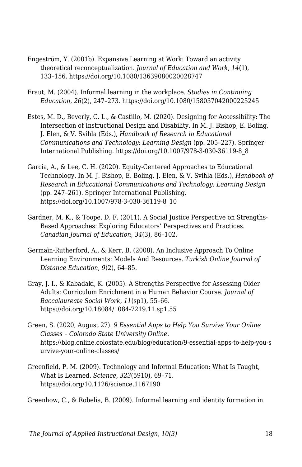- Engeström, Y. (2001b). Expansive Learning at Work: Toward an activity theoretical reconceptualization. *Journal of Education and Work*, *14*(1), 133–156. https://doi.org/10.1080/13639080020028747
- Eraut, M. (2004). Informal learning in the workplace. *Studies in Continuing Education*, *26*(2), 247–273. https://doi.org/10.1080/158037042000225245
- Estes, M. D., Beverly, C. L., & Castillo, M. (2020). Designing for Accessibility: The Intersection of Instructional Design and Disability. In M. J. Bishop, E. Boling, J. Elen, & V. Svihla (Eds.), *Handbook of Research in Educational Communications and Technology: Learning Design* (pp. 205–227). Springer International Publishing. https://doi.org/10.1007/978-3-030-36119-8\_8
- Garcia, A., & Lee, C. H. (2020). Equity-Centered Approaches to Educational Technology. In M. J. Bishop, E. Boling, J. Elen, & V. Svihla (Eds.), *Handbook of Research in Educational Communications and Technology: Learning Design* (pp. 247–261). Springer International Publishing. https://doi.org/10.1007/978-3-030-36119-8\_10
- Gardner, M. K., & Toope, D. F. (2011). A Social Justice Perspective on Strengths-Based Approaches: Exploring Educators' Perspectives and Practices. *Canadian Journal of Education*, *34*(3), 86–102.
- Germai̇n-Rutherford, A., & Kerr, B. (2008). An Inclusive Approach To Online Learning Environments: Models And Resources. *Turkish Online Journal of Distance Education*, *9*(2), 64–85.
- Gray, J. I., & Kabadaki, K. (2005). A Strengths Perspective for Assessing Older Adults: Curriculum Enrichment in a Human Behavior Course. *Journal of Baccalaureate Social Work*, *11*(sp1), 55–66. https://doi.org/10.18084/1084-7219.11.sp1.55
- Green, S. (2020, August 27). *9 Essential Apps to Help You Survive Your Online Classes – Colorado State University Online*. https://blog.online.colostate.edu/blog/education/9-essential-apps-to-help-you-s urvive-your-online-classes/
- Greenfield, P. M. (2009). Technology and Informal Education: What Is Taught, What Is Learned. *Science, 323*(5910), 69–71. https://doi.org/10.1126/science.1167190

Greenhow, C., & Robelia, B. (2009). Informal learning and identity formation in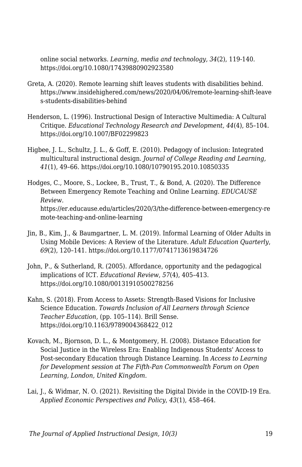online social networks. *Learning, media and technology, 34*(2), 119-140. https://doi.org/10.1080/17439880902923580

- Greta, A. (2020). Remote learning shift leaves students with disabilities behind. https://www.insidehighered.com/news/2020/04/06/remote-learning-shift-leave s-students-disabilities-behind
- Henderson, L. (1996). Instructional Design of Interactive Multimedia: A Cultural Critique. *Educational Technology Research and Development, 44*(4), 85–104. https://doi.org/10.1007/BF02299823
- Higbee, J. L., Schultz, J. L., & Goff, E. (2010). Pedagogy of inclusion: Integrated multicultural instructional design. *Journal of College Reading and Learning, 41*(1), 49–66. https://doi.org/10.1080/10790195.2010.10850335
- Hodges, C., Moore, S., Lockee, B., Trust, T., & Bond, A. (2020). The Difference Between Emergency Remote Teaching and Online Learning. *EDUCAUSE Review.* https://er.educause.edu/articles/2020/3/the-difference-between-emergency-re mote-teaching-and-online-learning
- Jin, B., Kim, J., & Baumgartner, L. M. (2019). Informal Learning of Older Adults in Using Mobile Devices: A Review of the Literature. *Adult Education Quarterly*, *69*(2), 120–141. https://doi.org/10.1177/0741713619834726
- John, P., & Sutherland, R. (2005). Affordance, opportunity and the pedagogical implications of ICT. *Educational Review*, *57*(4), 405–413. https://doi.org/10.1080/00131910500278256
- Kahn, S. (2018). From Access to Assets: Strength-Based Visions for Inclusive Science Education. *Towards Inclusion of All Learners through Science Teacher Education*, (pp. 105–114). Brill Sense. https://doi.org/10.1163/9789004368422\_012
- Kovach, M., Bjornson, D. L., & Montgomery, H. (2008). Distance Education for Social Justice in the Wireless Era: Enabling Indigenous Students' Access to Post-secondary Education through Distance Learning. In *Access to Learning for Development session at The Fifth-Pan Commonwealth Forum on Open Learning, London, United Kingdom*.
- Lai, J., & Widmar, N. O. (2021). Revisiting the Digital Divide in the COVID-19 Era. *Applied Economic Perspectives and Policy*, *43*(1), 458–464.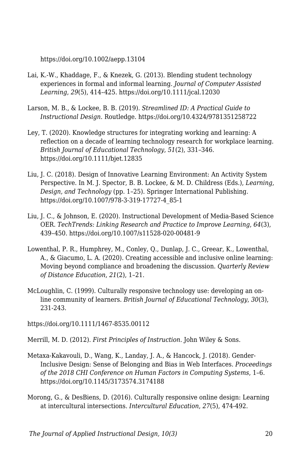https://doi.org/10.1002/aepp.13104

- Lai, K.-W., Khaddage, F., & Knezek, G. (2013). Blending student technology experiences in formal and informal learning. *Journal of Computer Assisted Learning*, *29*(5), 414–425. https://doi.org/10.1111/jcal.12030
- Larson, M. B., & Lockee, B. B. (2019). *Streamlined ID: A Practical Guide to Instructional Design*. Routledge. https://doi.org/10.4324/9781351258722
- Ley, T. (2020). Knowledge structures for integrating working and learning: A reflection on a decade of learning technology research for workplace learning. *British Journal of Educational Technology*, *51*(2), 331–346. https://doi.org/10.1111/bjet.12835
- Liu, J. C. (2018). Design of Innovative Learning Environment: An Activity System Perspective. In M. J. Spector, B. B. Lockee, & M. D. Childress (Eds.), *Learning, Design, and Technology* (pp. 1–25). Springer International Publishing. https://doi.org/10.1007/978-3-319-17727-4\_85-1
- Liu, J. C., & Johnson, E. (2020). Instructional Development of Media-Based Science OER. *TechTrends: Linking Research and Practice to Improve Learning*, *64*(3), 439–450. https://doi.org/10.1007/s11528-020-00481-9
- Lowenthal, P. R., Humphrey, M., Conley, Q., Dunlap, J. C., Greear, K., Lowenthal, A., & Giacumo, L. A. (2020). Creating accessible and inclusive online learning: Moving beyond compliance and broadening the discussion. *Quarterly Review of Distance Education*, *21*(2), 1–21.
- McLoughlin, C. (1999). Culturally responsive technology use: developing an online community of learners. *British Journal of Educational Technology*, *30*(3), 231-243.

https://doi.org/10.1111/1467-8535.00112

Merrill, M. D. (2012). *First Principles of Instruction*. John Wiley & Sons.

- Metaxa-Kakavouli, D., Wang, K., Landay, J. A., & Hancock, J. (2018). Gender-Inclusive Design: Sense of Belonging and Bias in Web Interfaces. *Proceedings of the 2018 CHI Conference on Human Factors in Computing Systems*, 1–6. https://doi.org/10.1145/3173574.3174188
- Morong, G., & DesBiens, D. (2016). Culturally responsive online design: Learning at intercultural intersections. *Intercultural Education*, *27*(5), 474-492.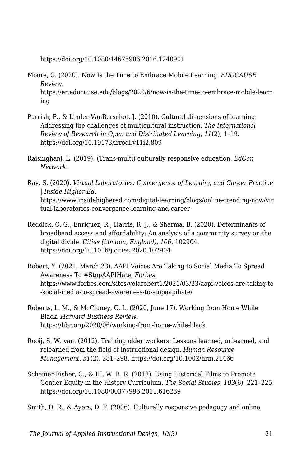https://doi.org/10.1080/14675986.2016.1240901

- Moore, C. (2020). Now Is the Time to Embrace Mobile Learning. *EDUCAUSE Review*. https://er.educause.edu/blogs/2020/6/now-is-the-time-to-embrace-mobile-learn ing
- Parrish, P., & Linder-VanBerschot, J. (2010). Cultural dimensions of learning: Addressing the challenges of multicultural instruction. *The International Review of Research in Open and Distributed Learning*, *11*(2), 1–19. https://doi.org/10.19173/irrodl.v11i2.809
- Raisinghani, L. (2019). (Trans-multi) culturally responsive education. *EdCan Network*.
- Ray, S. (2020). *Virtual Laboratories: Convergence of Learning and Career Practice | Inside Higher Ed*. https://www.insidehighered.com/digital-learning/blogs/online-trending-now/vir tual-laboratories-convergence-learning-and-career
- Reddick, C. G., Enriquez, R., Harris, R. J., & Sharma, B. (2020). Determinants of broadband access and affordability: An analysis of a community survey on the digital divide. *Cities (London, England)*, *106*, 102904. https://doi.org/10.1016/j.cities.2020.102904
- Robert, Y. (2021, March 23). AAPI Voices Are Taking to Social Media To Spread Awareness To #StopAAPIHate. *Forbes*. https://www.forbes.com/sites/yolarobert1/2021/03/23/aapi-voices-are-taking-to -social-media-to-spread-awareness-to-stopaapihate/
- Roberts, L. M., & McCluney, C. L. (2020, June 17). Working from Home While Black. *Harvard Business Review*. https://hbr.org/2020/06/working-from-home-while-black
- Rooij, S. W. van. (2012). Training older workers: Lessons learned, unlearned, and relearned from the field of instructional design. *Human Resource Management*, *51*(2), 281–298. https://doi.org/10.1002/hrm.21466
- Scheiner-Fisher, C., & III, W. B. R. (2012). Using Historical Films to Promote Gender Equity in the History Curriculum. *The Social Studies*, *103*(6), 221–225. https://doi.org/10.1080/00377996.2011.616239

Smith, D. R., & Ayers, D. F. (2006). Culturally responsive pedagogy and online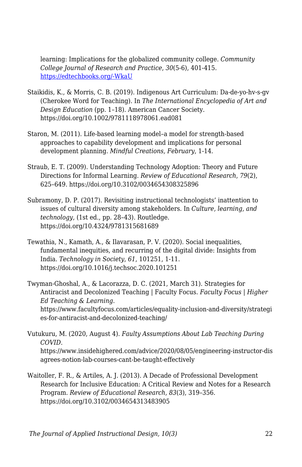learning: Implications for the globalized community college. *Community College Journal of Research and Practice*, *30*(5-6), 401-415. [https://edtechbooks.org/-WkaU](https://doi.org/10.1080/10668920500442125)

- Staikidis, K., & Morris, C. B. (2019). Indigenous Art Curriculum: Da-de-yo-hv-s-gv (Cherokee Word for Teaching). In *The International Encyclopedia of Art and Design Education* (pp. 1–18). American Cancer Society. https://doi.org/10.1002/9781118978061.ead081
- Staron, M. (2011). Life-based learning model–a model for strength-based approaches to capability development and implications for personal development planning. *Mindful Creations, February*, 1-14.
- Straub, E. T. (2009). Understanding Technology Adoption: Theory and Future Directions for Informal Learning. *Review of Educational Research*, *79*(2), 625–649. https://doi.org/10.3102/0034654308325896
- Subramony, D. P. (2017). Revisiting instructional technologists' inattention to issues of cultural diversity among stakeholders. In *Culture, learning, and technology,* (1st ed., pp. 28–43). Routledge. https://doi.org/10.4324/9781315681689
- Tewathia, N., Kamath, A., & Ilavarasan, P. V. (2020). Social inequalities, fundamental inequities, and recurring of the digital divide: Insights from India. *Technology in Society*, *61*, 101251, 1-11. https://doi.org/10.1016/j.techsoc.2020.101251
- Twyman-Ghoshal, A., & Lacorazza, D. C. (2021, March 31). Strategies for Antiracist and Decolonized Teaching | Faculty Focus. *Faculty Focus | Higher Ed Teaching & Learning*. https://www.facultyfocus.com/articles/equality-inclusion-and-diversity/strategi es-for-antiracist-and-decolonized-teaching/
- Vutukuru, M. (2020, August 4). *Faulty Assumptions About Lab Teaching During COVID*. https://www.insidehighered.com/advice/2020/08/05/engineering-instructor-dis agrees-notion-lab-courses-cant-be-taught-effectively
- Waitoller, F. R., & Artiles, A. J. (2013). A Decade of Professional Development Research for Inclusive Education: A Critical Review and Notes for a Research Program. *Review of Educational Research*, *83*(3), 319–356. https://doi.org/10.3102/0034654313483905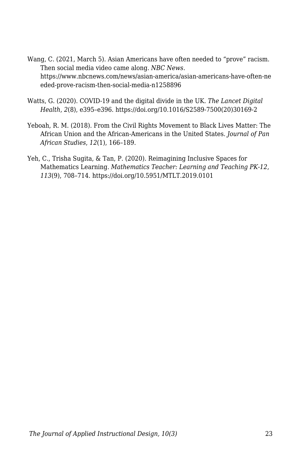- Wang, C. (2021, March 5). Asian Americans have often needed to "prove" racism. Then social media video came along. *NBC News*. https://www.nbcnews.com/news/asian-america/asian-americans-have-often-ne eded-prove-racism-then-social-media-n1258896
- Watts, G. (2020). COVID-19 and the digital divide in the UK. *The Lancet Digital Health*, *2*(8), e395–e396. https://doi.org/10.1016/S2589-7500(20)30169-2
- Yeboah, R. M. (2018). From the Civil Rights Movement to Black Lives Matter: The African Union and the African-Americans in the United States. *Journal of Pan African Studies*, *12*(1), 166–189.
- Yeh, C., Trisha Sugita, & Tan, P. (2020). Reimagining Inclusive Spaces for Mathematics Learning. *Mathematics Teacher: Learning and Teaching PK-12*, *113*(9), 708–714. https://doi.org/10.5951/MTLT.2019.0101